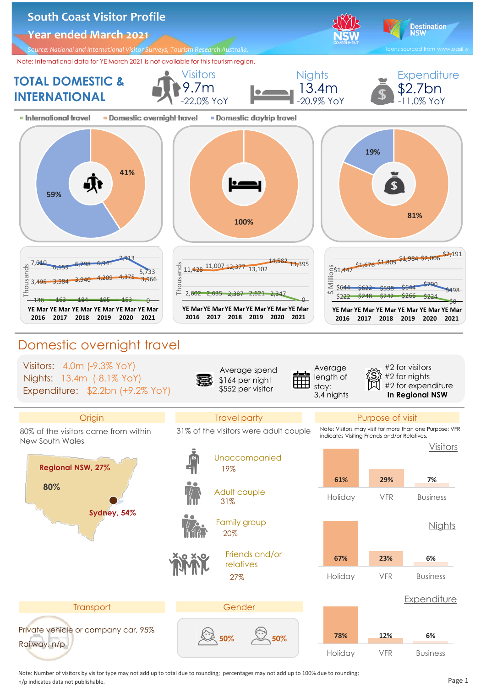

 Note: Number of visitors by visitor type may not add up to total due to rounding; percentages may not add up to 100% due to rounding; n/p indicates data not publishable. Page 1........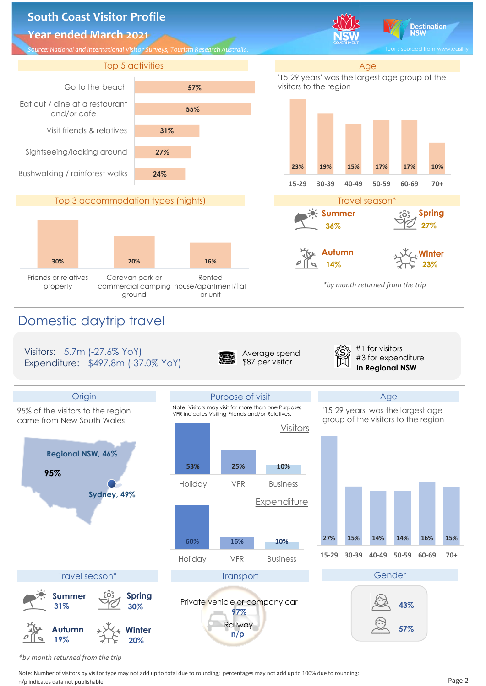

 *\*by month returned from the trip*

 Note: Number of visitors by visitor type may not add up to total due to rounding; percentages may not add up to 100% due to rounding; n/p indicates data not publishable. Page 2........